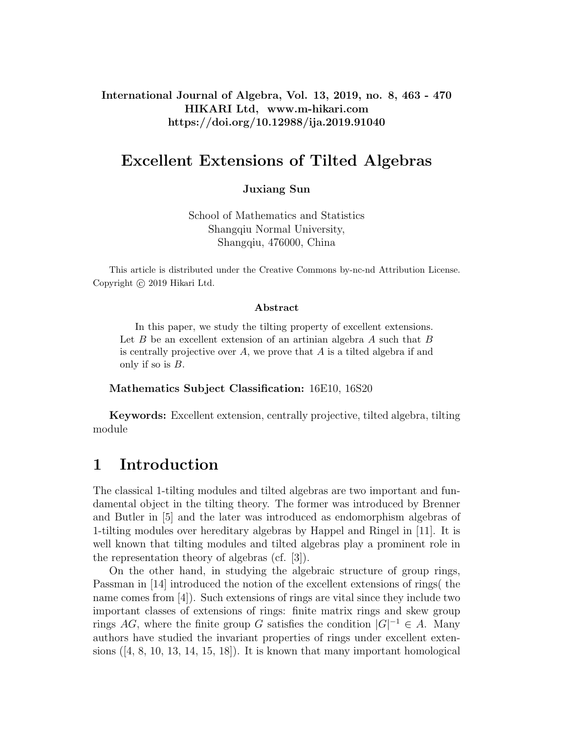International Journal of Algebra, Vol. 13, 2019, no. 8, 463 - 470 HIKARI Ltd, www.m-hikari.com https://doi.org/10.12988/ija.2019.91040

# Excellent Extensions of Tilted Algebras

Juxiang Sun

School of Mathematics and Statistics Shangqiu Normal University, Shangqiu, 476000, China

This article is distributed under the Creative Commons by-nc-nd Attribution License. Copyright © 2019 Hikari Ltd.

#### Abstract

In this paper, we study the tilting property of excellent extensions. Let  $B$  be an excellent extension of an artinian algebra  $A$  such that  $B$ is centrally projective over  $A$ , we prove that  $A$  is a tilted algebra if and only if so is  $B$ .

#### Mathematics Subject Classification: 16E10, 16S20

Keywords: Excellent extension, centrally projective, tilted algebra, tilting module

## 1 Introduction

The classical 1-tilting modules and tilted algebras are two important and fundamental object in the tilting theory. The former was introduced by Brenner and Butler in [5] and the later was introduced as endomorphism algebras of 1-tilting modules over hereditary algebras by Happel and Ringel in [11]. It is well known that tilting modules and tilted algebras play a prominent role in the representation theory of algebras (cf. [3]).

On the other hand, in studying the algebraic structure of group rings, Passman in [14] introduced the notion of the excellent extensions of rings( the name comes from [4]). Such extensions of rings are vital since they include two important classes of extensions of rings: finite matrix rings and skew group rings AG, where the finite group G satisfies the condition  $|G|^{-1} \in A$ . Many authors have studied the invariant properties of rings under excellent extensions  $([4, 8, 10, 13, 14, 15, 18])$ . It is known that many important homological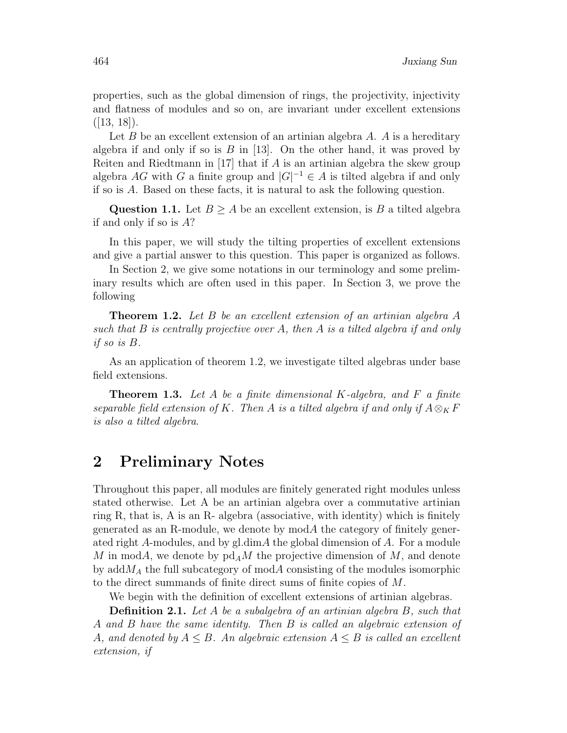properties, such as the global dimension of rings, the projectivity, injectivity and flatness of modules and so on, are invariant under excellent extensions  $([13, 18]).$ 

Let  $B$  be an excellent extension of an artinian algebra  $A$ .  $A$  is a hereditary algebra if and only if so is  $B$  in [13]. On the other hand, it was proved by Reiten and Riedtmann in [17] that if A is an artinian algebra the skew group algebra AG with G a finite group and  $|G|^{-1} \in A$  is tilted algebra if and only if so is A. Based on these facts, it is natural to ask the following question.

Question 1.1. Let  $B \geq A$  be an excellent extension, is B a tilted algebra if and only if so is A?

In this paper, we will study the tilting properties of excellent extensions and give a partial answer to this question. This paper is organized as follows.

In Section 2, we give some notations in our terminology and some preliminary results which are often used in this paper. In Section 3, we prove the following

Theorem 1.2. Let B be an excellent extension of an artinian algebra A such that  $B$  is centrally projective over  $A$ , then  $A$  is a tilted algebra if and only if so is B.

As an application of theorem 1.2, we investigate tilted algebras under base field extensions.

**Theorem 1.3.** Let  $A$  be a finite dimensional  $K$ -algebra, and  $F$  a finite separable field extension of K. Then A is a tilted algebra if and only if  $A \otimes_K F$ is also a tilted algebra.

# 2 Preliminary Notes

Throughout this paper, all modules are finitely generated right modules unless stated otherwise. Let A be an artinian algebra over a commutative artinian ring R, that is, A is an R- algebra (associative, with identity) which is finitely generated as an R-module, we denote by  $modA$  the category of finitely generated right A-modules, and by gl.dimA the global dimension of A. For a module M in modA, we denote by  $\mathop{pd}\nolimits_A M$  the projective dimension of M, and denote by add $M_A$  the full subcategory of mod $A$  consisting of the modules isomorphic to the direct summands of finite direct sums of finite copies of M.

We begin with the definition of excellent extensions of artinian algebras.

Definition 2.1. Let A be a subalgebra of an artinian algebra B, such that A and B have the same identity. Then B is called an algebraic extension of A, and denoted by  $A \leq B$ . An algebraic extension  $A \leq B$  is called an excellent extension, if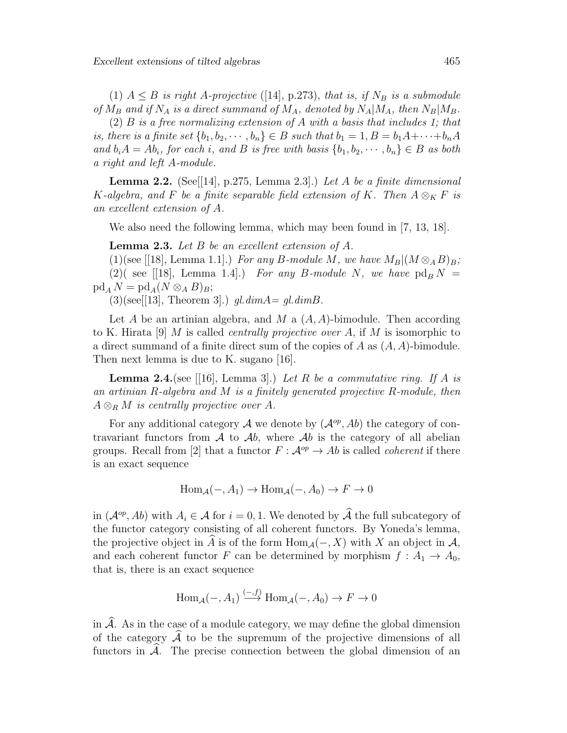(1)  $A \leq B$  is right A-projective ([14], p.273), that is, if  $N_B$  is a submodule of  $M_B$  and if  $N_A$  is a direct summand of  $M_A$ , denoted by  $N_A|M_A$ , then  $N_B|M_B$ .

 $(2)$  B is a free normalizing extension of A with a basis that includes 1; that is, there is a finite set  $\{b_1, b_2, \cdots, b_n\} \in B$  such that  $b_1 = 1, B = b_1A + \cdots + b_nA$ and  $b_iA = Ab_i$ , for each i, and B is free with basis  $\{b_1, b_2, \dots, b_n\} \in B$  as both a right and left A-module.

**Lemma 2.2.** (See [[14], p.275, Lemma 2.3].) Let A be a finite dimensional K-algebra, and F be a finite separable field extension of K. Then  $A \otimes_K F$  is an excellent extension of A.

We also need the following lemma, which may been found in [7, 13, 18].

**Lemma 2.3.** Let  $B$  be an excellent extension of  $A$ .

(1)(see [[18], Lemma 1.1].) For any B-module M, we have  $M_B|(M \otimes_A B)_B;$ (2)( see [[18], Lemma 1.4].) For any B-module N, we have  $\text{pd}_B N =$  $\operatorname{pd}_A N = \operatorname{pd}_A (N \otimes_A B)_B;$ 

 $(3)(see [13], Theorem 3].)$  gl.dim $A=gl.dimB.$ 

Let A be an artinian algebra, and M a  $(A, A)$ -bimodule. Then according to K. Hirata [9] M is called *centrally projective over A*, if M is isomorphic to a direct summand of a finite direct sum of the copies of  $A$  as  $(A, A)$ -bimodule. Then next lemma is due to K. sugano [16].

**Lemma 2.4.** (see [[16], Lemma 3].) Let R be a commutative ring. If A is an artinian  $R$ -algebra and  $M$  is a finitely generated projective  $R$ -module, then  $A \otimes_R M$  is centrally projective over A.

For any additional category A we denote by  $(A^{op}, Ab)$  the category of contravariant functors from  $A$  to  $Ab$ , where  $Ab$  is the category of all abelian groups. Recall from [2] that a functor  $F : \mathcal{A}^{op} \to Ab$  is called *coherent* if there is an exact sequence

$$
Hom_{\mathcal{A}}(-, A_1) \to Hom_{\mathcal{A}}(-, A_0) \to F \to 0
$$

in  $(A^{op}, Ab)$  with  $A_i \in \mathcal{A}$  for  $i = 0, 1$ . We denoted by  $\widehat{A}$  the full subcategory of the functor category consisting of all coherent functors. By Yoneda's lemma, the projective object in A is of the form  $\text{Hom}_{\mathcal{A}}(-, X)$  with X an object in A, and each coherent functor F can be determined by morphism  $f: A_1 \rightarrow A_0$ , that is, there is an exact sequence

$$
\text{Hom}_{\mathcal{A}}(-, A_1) \xrightarrow{(-, f)} \text{Hom}_{\mathcal{A}}(-, A_0) \to F \to 0
$$

in  $\hat{\mathcal{A}}$ . As in the case of a module category, we may define the global dimension of the category  $\widehat{\mathcal{A}}$  to be the supremum of the projective dimensions of all functors in  $\hat{\mathcal{A}}$ . The precise connection between the global dimension of an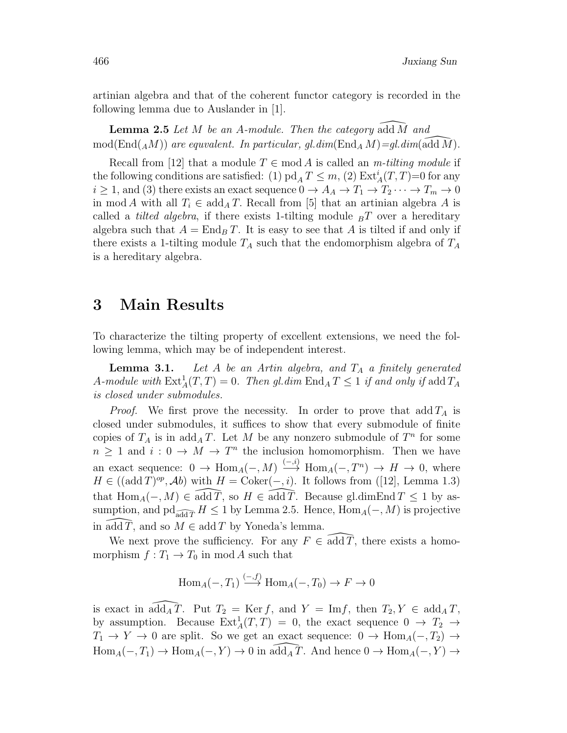artinian algebra and that of the coherent functor category is recorded in the following lemma due to Auslander in [1].

**Lemma 2.5** Let  $M$  be an  $A$ -module. Then the category add  $M$  and  $mod(End({}_AM))$  are equvalent. In particular, gl.dim(End<sub>A</sub> M)=gl.dim(add M).

Recall from [12] that a module  $T \in \text{mod } A$  is called an *m-tilting module* if the following conditions are satisfied: (1)  $pd<sub>A</sub> T \leq m$ , (2)  $Ext<sup>i</sup><sub>A</sub>(T, T) = 0$  for any  $i \geq 1$ , and (3) there exists an exact sequence  $0 \to A_A \to T_1 \to T_2 \cdots \to T_m \to 0$ in mod A with all  $T_i \in \text{add}_A T$ . Recall from [5] that an artinian algebra A is called a *tilted algebra*, if there exists 1-tilting module  $B<sub>B</sub>T$  over a hereditary algebra such that  $A = \text{End}_B T$ . It is easy to see that A is tilted if and only if there exists a 1-tilting module  $T_A$  such that the endomorphism algebra of  $T_A$ is a hereditary algebra.

### 3 Main Results

To characterize the tilting property of excellent extensions, we need the following lemma, which may be of independent interest.

**Lemma 3.1.** Let A be an Artin algebra, and  $T_A$  a finitely generated A-module with  $\text{Ext}^1_A(T, T) = 0$ . Then gl.dim  $\text{End}_A T \leq 1$  if and only if add  $T_A$ is closed under submodules.

*Proof.* We first prove the necessity. In order to prove that add  $T_A$  is closed under submodules, it suffices to show that every submodule of finite copies of  $T_A$  is in add<sub>A</sub>T. Let M be any nonzero submodule of  $T^n$  for some  $n \geq 1$  and  $i: 0 \to M \to T^n$  the inclusion homomorphism. Then we have an exact sequence:  $0 \to \text{Hom}_A(-, M) \stackrel{(-,i)}{\longrightarrow} \text{Hom}_A(-, T^n) \to H \to 0$ , where  $H \in ((\text{add } T)^{op}, \mathcal{A}b)$  with  $H = \text{Coker}(-, i)$ . It follows from ([12], Lemma 1.3) that  $\text{Hom}_{A}(-, M) \in \widehat{\text{add } T}$ , so  $H \in \widehat{\text{add } T}$ . Because gl.dimEnd  $T \leq 1$  by assumption, and pd<sub>add</sub> $\overline{T}$  H ≤ 1 by Lemma 2.5. Hence, Hom<sub>A</sub>(–, M) is projective in add T, and so  $M \in \text{add } T$  by Yoneda's lemma.

We next prove the sufficiency. For any  $F \in \overline{\text{add }T}$ , there exists a homomorphism  $f: T_1 \to T_0$  in mod A such that

$$
\text{Hom}_A(-,T_1) \xrightarrow{(-,f)} \text{Hom}_A(-,T_0) \to F \to 0
$$

is exact in  $\overline{\text{add}_A T}$ . Put  $T_2 = \text{Ker } f$ , and  $Y = \text{Im } f$ , then  $T_2, Y \in \text{add}_A T$ , by assumption. Because  $Ext_A^1(T,T) = 0$ , the exact sequence  $0 \to T_2 \to$  $T_1 \rightarrow Y \rightarrow 0$  are split. So we get an exact sequence:  $0 \rightarrow \text{Hom}_A(-, T_2) \rightarrow$  $\text{Hom}_A(-, T_1) \to \text{Hom}_A(-, Y) \to 0$  in  $\text{add}_A \tilde{T}$ . And hence  $0 \to \text{Hom}_A(-, Y) \to$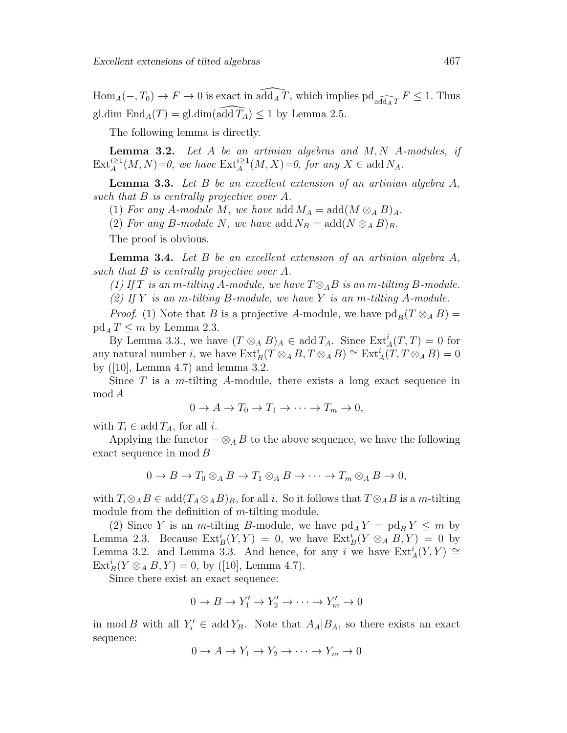$\text{Hom}_A(-, T_0) \to F \to 0$  is exact in  $\widehat{\text{add}_A T}$ , which implies  $\text{pd}_{\widehat{\text{add}_A T}} F \leq 1$ . Thus gl.dim  $\text{End}_A(T) = \text{gl.dim}(\widehat{\text{add }T_A}) \leq 1$  by Lemma 2.5.

The following lemma is directly.

**Lemma 3.2.** Let  $A$  be an artinian algebras and  $M, N$   $A$ -modules, if  $\text{Ext}_{A}^{i\geq 1}(M,N)=0$ , we have  $\text{Ext}_{A}^{i\geq 1}(M,X)=0$ , for any  $X\in \text{add }N_A$ .

**Lemma 3.3.** Let  $B$  be an excellent extension of an artinian algebra  $A$ , such that B is centrally projective over A.

(1) For any A-module M, we have add  $M_A = \text{add}(M \otimes_A B)_A$ .

(2) For any B-module N, we have add  $N_B = \text{add}(N \otimes_A B)_B$ .

The proof is obvious.

**Lemma 3.4.** Let  $B$  be an excellent extension of an artinian algebra  $A$ , such that B is centrally projective over A.

(1) If T is an m-tilting A-module, we have  $T \otimes_A B$  is an m-tilting B-module. (2) If Y is an m-tilting B-module, we have Y is an m-tilting A-module.

*Proof.* (1) Note that B is a projective A-module, we have  $\text{pd}_B(T \otimes_A B) =$  $\text{pd}_A T \leq m$  by Lemma 2.3.

By Lemma 3.3., we have  $(T \otimes_A B)_A \in \text{add } T_A$ . Since  $\text{Ext}^i_A(T,T) = 0$  for any natural number *i*, we have  $\text{Ext}_{B}^{i}(T \otimes_{A} B, T \otimes_{A} B) \cong \text{Ext}_{A}^{i}(T, T \otimes_{A} B) = 0$ by ([10], Lemma 4.7) and lemma 3.2.

Since  $T$  is a m-tilting A-module, there exists a long exact sequence in mod A

$$
0 \to A \to T_0 \to T_1 \to \cdots \to T_m \to 0,
$$

with  $T_i \in \text{add } T_A$ , for all i.

Applying the functor  $-\otimes_A B$  to the above sequence, we have the following exact sequence in mod B

$$
0 \to B \to T_0 \otimes_A B \to T_1 \otimes_A B \to \cdots \to T_m \otimes_A B \to 0,
$$

with  $T_i \otimes_A B \in \text{add}(T_A \otimes_A B)_B$ , for all i. So it follows that  $T \otimes_A B$  is a m-tilting module from the definition of *m*-tilting module.

(2) Since Y is an m-tilting B-module, we have  $\text{pd}_A Y = \text{pd}_B Y \leq m$  by Lemma 2.3. Because  $\text{Ext}^i_B(Y, Y) = 0$ , we have  $\text{Ext}^i_B(Y \otimes_A B, Y) = 0$  by Lemma 3.2. and Lemma 3.3. And hence, for any i we have  $\text{Ext}_{A}^{i}(Y, Y) \cong$  $\text{Ext}_{B}^{i}(Y \otimes_{A} B, Y) = 0$ , by ([10], Lemma 4.7).

Since there exist an exact sequence:

$$
0 \to B \to Y_1' \to Y_2' \to \cdots \to Y_m' \to 0
$$

in mod B with all  $Y_i' \in \text{add } Y_B$ . Note that  $A_A | B_A$ , so there exists an exact sequence:

$$
0 \to A \to Y_1 \to Y_2 \to \cdots \to Y_m \to 0
$$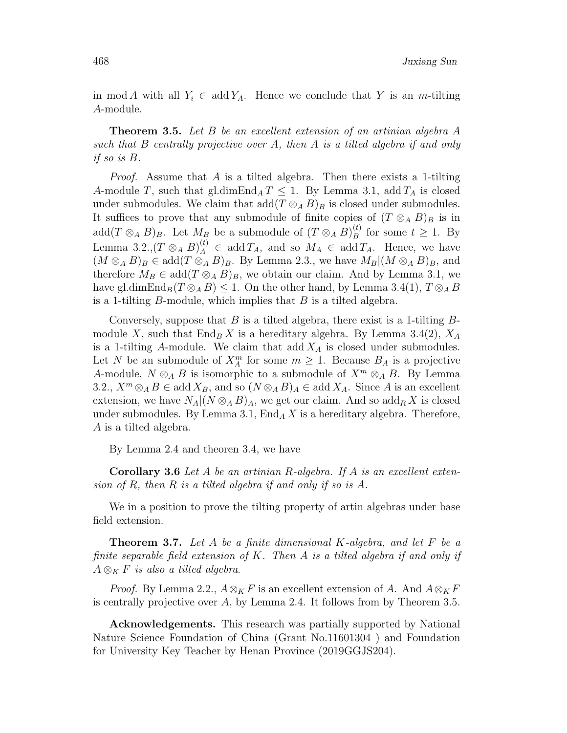in mod A with all  $Y_i \in \text{add } Y_A$ . Hence we conclude that Y is an m-tilting A-module.

**Theorem 3.5.** Let B be an excellent extension of an artinian algebra  $A$ such that B centrally projective over A, then A is a tilted algebra if and only if so is B.

*Proof.* Assume that  $A$  is a tilted algebra. Then there exists a 1-tilting A-module T, such that gl.dim $\text{End}_A T \leq 1$ . By Lemma 3.1, add  $T_A$  is closed under submodules. We claim that  $\text{add}(T \otimes_A B)_B$  is closed under submodules. It suffices to prove that any submodule of finite copies of  $(T \otimes_A B)_B$  is in add $(T \otimes_A B)_B$ . Let  $M_B$  be a submodule of  $(T \otimes_A B)^{(t)}_B$  $\mathcal{L}_B^{(t)}$  for some  $t \geq 1$ . By Lemma 3.2., $(T \otimes_A B)^{(t)}_A \in \text{add } T_A$ , and so  $M_A \in \text{add } T_A$ . Hence, we have  $(M \otimes_A B)_B \in \text{add}(T \otimes_A B)_B$ . By Lemma 2.3., we have  $M_B|(M \otimes_A B)_B$ , and therefore  $M_B \in \text{add}(T \otimes_A B)_B$ , we obtain our claim. And by Lemma 3.1, we have gl.dimEnd<sub>B</sub> $(T \otimes_A B) \leq 1$ . On the other hand, by Lemma 3.4(1),  $T \otimes_A B$ is a 1-tilting  $B$ -module, which implies that  $B$  is a tilted algebra.

Conversely, suppose that  $B$  is a tilted algebra, there exist is a 1-tilting  $B$ module X, such that  $\text{End}_B X$  is a hereditary algebra. By Lemma 3.4(2),  $X_A$ is a 1-tilting A-module. We claim that  $\text{add } X_A$  is closed under submodules. Let N be an submodule of  $X_A^m$  for some  $m \geq 1$ . Because  $B_A$  is a projective A-module,  $N \otimes_A B$  is isomorphic to a submodule of  $X^m \otimes_A B$ . By Lemma 3.2.,  $X^m \otimes_A B \in \text{add } X_B$ , and so  $(N \otimes_A B)_A \in \text{add } X_A$ . Since A is an excellent extension, we have  $N_A|(N \otimes_A B)_A$ , we get our claim. And so  $\text{add}_R X$  is closed under submodules. By Lemma 3.1,  $\text{End}_A X$  is a hereditary algebra. Therefore, A is a tilted algebra.

By Lemma 2.4 and theoren 3.4, we have

**Corollary 3.6** Let A be an artinian R-algebra. If A is an excellent extension of R, then R is a tilted algebra if and only if so is A.

We in a position to prove the tilting property of artin algebras under base field extension.

**Theorem 3.7.** Let A be a finite dimensional K-algebra, and let F be a finite separable field extension of K. Then A is a tilted algebra if and only if  $A \otimes_K F$  is also a tilted algebra.

*Proof.* By Lemma 2.2.,  $A \otimes_K F$  is an excellent extension of A. And  $A \otimes_K F$ is centrally projective over A, by Lemma 2.4. It follows from by Theorem 3.5.

Acknowledgements. This research was partially supported by National Nature Science Foundation of China (Grant No.11601304 ) and Foundation for University Key Teacher by Henan Province (2019GGJS204).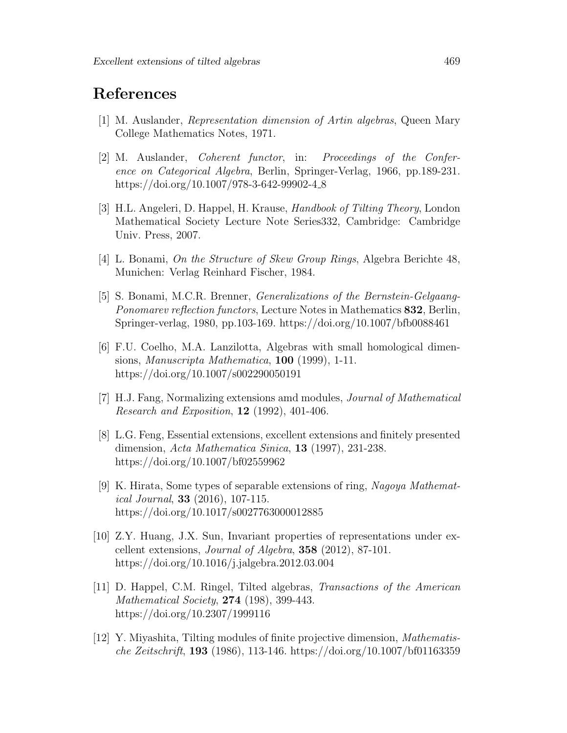# References

- [1] M. Auslander, Representation dimension of Artin algebras, Queen Mary College Mathematics Notes, 1971.
- [2] M. Auslander, Coherent functor, in: Proceedings of the Conference on Categorical Algebra, Berlin, Springer-Verlag, 1966, pp.189-231. https://doi.org/10.1007/978-3-642-99902-4.8
- [3] H.L. Angeleri, D. Happel, H. Krause, Handbook of Tilting Theory, London Mathematical Society Lecture Note Series332, Cambridge: Cambridge Univ. Press, 2007.
- [4] L. Bonami, On the Structure of Skew Group Rings, Algebra Berichte 48, Munichen: Verlag Reinhard Fischer, 1984.
- [5] S. Bonami, M.C.R. Brenner, Generalizations of the Bernstein-Gelgaang-Ponomarev reflection functors, Lecture Notes in Mathematics 832, Berlin, Springer-verlag, 1980, pp.103-169. https://doi.org/10.1007/bfb0088461
- [6] F.U. Coelho, M.A. Lanzilotta, Algebras with small homological dimensions, Manuscripta Mathematica, 100 (1999), 1-11. https://doi.org/10.1007/s002290050191
- [7] H.J. Fang, Normalizing extensions amd modules, Journal of Mathematical Research and Exposition, 12 (1992), 401-406.
- [8] L.G. Feng, Essential extensions, excellent extensions and finitely presented dimension, Acta Mathematica Sinica, 13 (1997), 231-238. https://doi.org/10.1007/bf02559962
- [9] K. Hirata, Some types of separable extensions of ring, Nagoya Mathematical Journal, 33 (2016), 107-115. https://doi.org/10.1017/s0027763000012885
- [10] Z.Y. Huang, J.X. Sun, Invariant properties of representations under excellent extensions, *Journal of Algebra*, **358** (2012), 87-101. https://doi.org/10.1016/j.jalgebra.2012.03.004
- [11] D. Happel, C.M. Ringel, Tilted algebras, Transactions of the American Mathematical Society, 274 (198), 399-443. https://doi.org/10.2307/1999116
- [12] Y. Miyashita, Tilting modules of finite projective dimension, Mathematische Zeitschrift, 193 (1986), 113-146. https://doi.org/10.1007/bf01163359